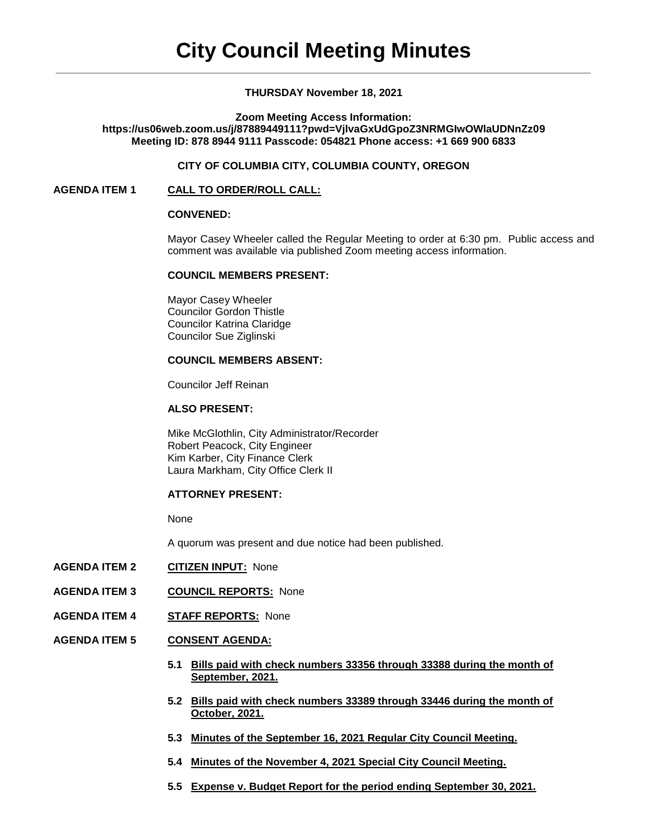### **THURSDAY November 18, 2021**

**Zoom Meeting Access Information:**

**https://us06web.zoom.us/j/87889449111?pwd=VjlvaGxUdGpoZ3NRMGIwOWlaUDNnZz09 Meeting ID: 878 8944 9111 Passcode: 054821 Phone access: +1 669 900 6833**

#### **CITY OF COLUMBIA CITY, COLUMBIA COUNTY, OREGON**

#### **AGENDA ITEM 1 CALL TO ORDER/ROLL CALL:**

#### **CONVENED:**

Mayor Casey Wheeler called the Regular Meeting to order at 6:30 pm. Public access and comment was available via published Zoom meeting access information.

#### **COUNCIL MEMBERS PRESENT:**

Mayor Casey Wheeler Councilor Gordon Thistle Councilor Katrina Claridge Councilor Sue Ziglinski

# **COUNCIL MEMBERS ABSENT:**

Councilor Jeff Reinan

#### **ALSO PRESENT:**

Mike McGlothlin, City Administrator/Recorder Robert Peacock, City Engineer Kim Karber, City Finance Clerk Laura Markham, City Office Clerk II

#### **ATTORNEY PRESENT:**

None

A quorum was present and due notice had been published.

- **AGENDA ITEM 2 CITIZEN INPUT:** None
- **AGENDA ITEM 3 COUNCIL REPORTS:** None
- **AGENDA ITEM 4 STAFF REPORTS:** None
- **AGENDA ITEM 5 CONSENT AGENDA:**
	- **5.1 Bills paid with check numbers 33356 through 33388 during the month of September, 2021.**
	- **5.2 Bills paid with check numbers 33389 through 33446 during the month of October, 2021.**
	- **5.3 Minutes of the September 16, 2021 Regular City Council Meeting.**
	- **5.4 Minutes of the November 4, 2021 Special City Council Meeting.**
	- **5.5 Expense v. Budget Report for the period ending September 30, 2021.**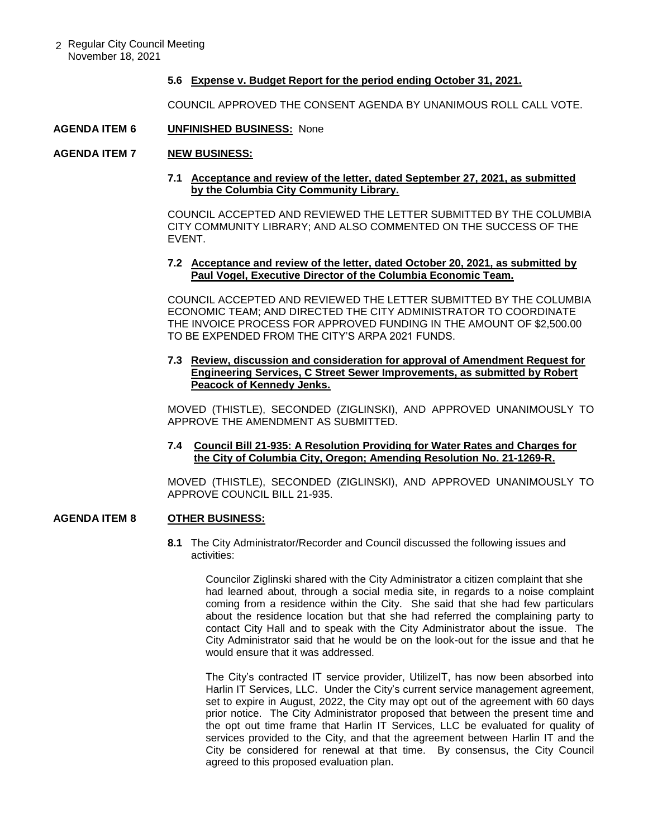2 Regular City Council Meeting November 18, 2021

#### **5.6 Expense v. Budget Report for the period ending October 31, 2021.**

COUNCIL APPROVED THE CONSENT AGENDA BY UNANIMOUS ROLL CALL VOTE.

### **AGENDA ITEM 6 UNFINISHED BUSINESS:** None

#### **AGENDA ITEM 7 NEW BUSINESS:**

### **7.1 Acceptance and review of the letter, dated September 27, 2021, as submitted by the Columbia City Community Library.**

COUNCIL ACCEPTED AND REVIEWED THE LETTER SUBMITTED BY THE COLUMBIA CITY COMMUNITY LIBRARY; AND ALSO COMMENTED ON THE SUCCESS OF THE EVENT.

### **7.2 Acceptance and review of the letter, dated October 20, 2021, as submitted by Paul Vogel, Executive Director of the Columbia Economic Team.**

COUNCIL ACCEPTED AND REVIEWED THE LETTER SUBMITTED BY THE COLUMBIA ECONOMIC TEAM; AND DIRECTED THE CITY ADMINISTRATOR TO COORDINATE THE INVOICE PROCESS FOR APPROVED FUNDING IN THE AMOUNT OF \$2,500.00 TO BE EXPENDED FROM THE CITY'S ARPA 2021 FUNDS.

### **7.3 Review, discussion and consideration for approval of Amendment Request for Engineering Services, C Street Sewer Improvements, as submitted by Robert Peacock of Kennedy Jenks.**

MOVED (THISTLE), SECONDED (ZIGLINSKI), AND APPROVED UNANIMOUSLY TO APPROVE THE AMENDMENT AS SUBMITTED.

### **7.4 Council Bill 21-935: A Resolution Providing for Water Rates and Charges for the City of Columbia City, Oregon; Amending Resolution No. 21-1269-R.**

MOVED (THISTLE), SECONDED (ZIGLINSKI), AND APPROVED UNANIMOUSLY TO APPROVE COUNCIL BILL 21-935.

# **AGENDA ITEM 8 OTHER BUSINESS:**

**8.1** The City Administrator/Recorder and Council discussed the following issues and activities:

Councilor Ziglinski shared with the City Administrator a citizen complaint that she had learned about, through a social media site, in regards to a noise complaint coming from a residence within the City. She said that she had few particulars about the residence location but that she had referred the complaining party to contact City Hall and to speak with the City Administrator about the issue. The City Administrator said that he would be on the look-out for the issue and that he would ensure that it was addressed.

The City's contracted IT service provider, UtilizeIT, has now been absorbed into Harlin IT Services, LLC. Under the City's current service management agreement, set to expire in August, 2022, the City may opt out of the agreement with 60 days prior notice. The City Administrator proposed that between the present time and the opt out time frame that Harlin IT Services, LLC be evaluated for quality of services provided to the City, and that the agreement between Harlin IT and the City be considered for renewal at that time. By consensus, the City Council agreed to this proposed evaluation plan.